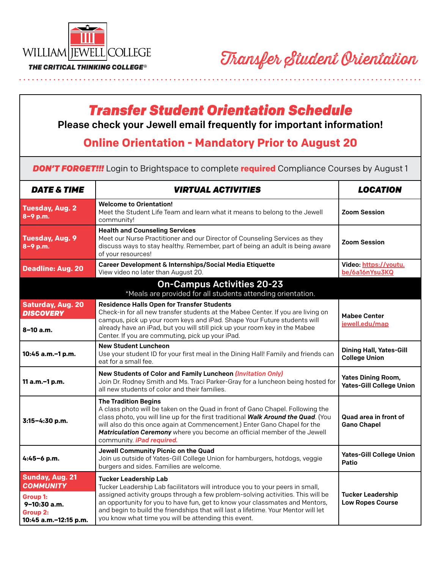

and and and and and a

## *Transfer Student Orientation Schedule*

Please check your Jewell email frequently for important information!

## **Online Orientation - Mandatory Prior to August 20**

*DON'T FORGET!!!* Login to Brightspace to complete **required** Compliance Courses by August 1

| <b>DATE &amp; TIME</b>                                                                                                    | <b><i>VIRTUAL ACTIVITIES</i></b>                                                                                                                                                                                                                                                                                                                                                                                               | <b>LOCATION</b>                                              |
|---------------------------------------------------------------------------------------------------------------------------|--------------------------------------------------------------------------------------------------------------------------------------------------------------------------------------------------------------------------------------------------------------------------------------------------------------------------------------------------------------------------------------------------------------------------------|--------------------------------------------------------------|
| <b>Tuesday, Aug. 2</b><br>8-9 p.m.                                                                                        | <b>Welcome to Orientation!</b><br>Meet the Student Life Team and learn what it means to belong to the Jewell<br>community!                                                                                                                                                                                                                                                                                                     | <b>Zoom Session</b>                                          |
| <b>Tuesday, Aug. 9</b><br>8-9 p.m.                                                                                        | <b>Health and Counseling Services</b><br>Meet our Nurse Practitioner and our Director of Counseling Services as they<br>discuss ways to stay healthy. Remember, part of being an adult is being aware<br>of your resources!                                                                                                                                                                                                    | <b>Zoom Session</b>                                          |
| <b>Deadline: Aug. 20</b>                                                                                                  | Career Development & Internships/Social Media Etiquette<br>View video no later than August 20.                                                                                                                                                                                                                                                                                                                                 | Video: https://youtu.<br>be/6a16nYsu3KQ                      |
|                                                                                                                           | <b>On-Campus Activities 20-23</b><br>*Meals are provided for all students attending orientation.                                                                                                                                                                                                                                                                                                                               |                                                              |
| <b>Saturday, Aug. 20</b><br><b>DISCOVERY</b><br>$8 - 10$ a.m.                                                             | <b>Residence Halls Open for Transfer Students</b><br>Check-in for all new transfer students at the Mabee Center. If you are living on<br>campus, pick up your room keys and iPad. Shape Your Future students will<br>already have an iPad, but you will still pick up your room key in the Mabee<br>Center. If you are commuting, pick up your iPad.                                                                           | <b>Mabee Center</b><br>jewell.edu/map                        |
| 10:45 a.m.-1 p.m.                                                                                                         | <b>New Student Luncheon</b><br>Use your student ID for your first meal in the Dining Hall! Family and friends can<br>eat for a small fee.                                                                                                                                                                                                                                                                                      | <b>Dining Hall, Yates-Gill</b><br><b>College Union</b>       |
| 11 a.m.-1 p.m.                                                                                                            | New Students of Color and Family Luncheon (Invitation Only)<br>Join Dr. Rodney Smith and Ms. Traci Parker-Gray for a luncheon being hosted for<br>all new students of color and their families.                                                                                                                                                                                                                                | <b>Yates Dining Room,</b><br><b>Yates-Gill College Union</b> |
| 3:15-4:30 p.m.                                                                                                            | <b>The Tradition Begins</b><br>A class photo will be taken on the Quad in front of Gano Chapel. Following the<br>class photo, you will line up for the first traditional Walk Around the Quad. (You<br>will also do this once again at Commencement.) Enter Gano Chapel for the<br>Matriculation Ceremony where you become an official member of the Jewell<br>community <i>iPad required</i> .                                | Quad area in front of<br><b>Gano Chapel</b>                  |
| 4:45-6 p.m.                                                                                                               | Jewell Community Picnic on the Quad<br>Join us outside of Yates-Gill College Union for hamburgers, hotdogs, veggie<br>burgers and sides. Families are welcome.                                                                                                                                                                                                                                                                 | <b>Yates-Gill College Union</b><br>Patio                     |
| <b>Sunday, Aug. 21</b><br><b>COMMUNITY</b><br><b>Group 1:</b><br>9-10:30 a.m.<br><b>Group 2:</b><br>10:45 a.m.-12:15 p.m. | <b>Tucker Leadership Lab</b><br>Tucker Leadership Lab facilitators will introduce you to your peers in small,<br>assigned activity groups through a few problem-solving activities. This will be<br>an opportunity for you to have fun, get to know your classmates and Mentors,<br>and begin to build the friendships that will last a lifetime. Your Mentor will let<br>you know what time you will be attending this event. | <b>Tucker Leadership</b><br><b>Low Ropes Course</b>          |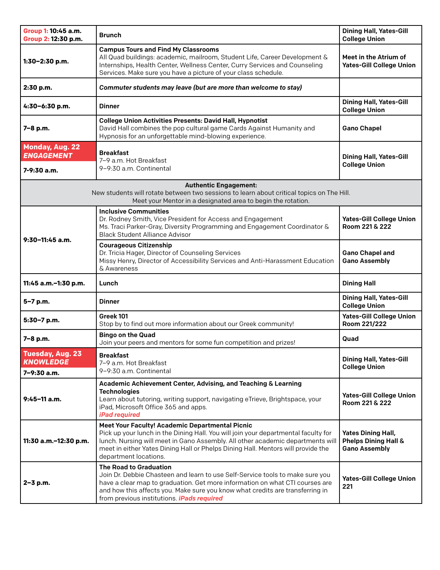| Group 1: 10:45 a.m.<br>Group 2: 12:30 p.m.                                                                                                                                                | <b>Brunch</b>                                                                                                                                                                                                                                                                                                                        | <b>Dining Hall, Yates-Gill</b><br><b>College Union</b>                    |  |
|-------------------------------------------------------------------------------------------------------------------------------------------------------------------------------------------|--------------------------------------------------------------------------------------------------------------------------------------------------------------------------------------------------------------------------------------------------------------------------------------------------------------------------------------|---------------------------------------------------------------------------|--|
| 1:30-2:30 p.m.                                                                                                                                                                            | <b>Campus Tours and Find My Classrooms</b><br>All Quad buildings: academic, mailroom, Student Life, Career Development &<br>Internships, Health Center, Wellness Center, Curry Services and Counseling<br>Services. Make sure you have a picture of your class schedule.                                                             | Meet in the Atrium of<br><b>Yates-Gill College Union</b>                  |  |
| 2:30 p.m.                                                                                                                                                                                 | Commuter students may leave (but are more than welcome to stay)                                                                                                                                                                                                                                                                      |                                                                           |  |
| 4:30-6:30 p.m.                                                                                                                                                                            | <b>Dinner</b>                                                                                                                                                                                                                                                                                                                        | <b>Dining Hall, Yates-Gill</b><br><b>College Union</b>                    |  |
| 7-8 p.m.                                                                                                                                                                                  | <b>College Union Activities Presents: David Hall, Hypnotist</b><br>David Hall combines the pop cultural game Cards Against Humanity and<br>Hypnosis for an unforgettable mind-blowing experience.                                                                                                                                    | <b>Gano Chapel</b>                                                        |  |
| <b>Monday, Aug. 22</b><br><b>ENGAGEMENT</b><br>$7 - 9:30$ a.m.                                                                                                                            | <b>Breakfast</b><br>7-9 a.m. Hot Breakfast<br>9-9:30 a.m. Continental                                                                                                                                                                                                                                                                | <b>Dining Hall, Yates-Gill</b><br><b>College Union</b>                    |  |
| <b>Authentic Engagement:</b><br>New students will rotate between two sessions to learn about critical topics on The Hill.<br>Meet your Mentor in a designated area to begin the rotation. |                                                                                                                                                                                                                                                                                                                                      |                                                                           |  |
| $9:30-11:45$ a.m.                                                                                                                                                                         | <b>Inclusive Communities</b><br>Dr. Rodney Smith, Vice President for Access and Engagement<br>Ms. Traci Parker-Gray, Diversity Programming and Engagement Coordinator &<br><b>Black Student Alliance Advisor</b>                                                                                                                     | <b>Yates-Gill College Union</b><br>Room 221 & 222                         |  |
|                                                                                                                                                                                           | <b>Courageous Citizenship</b><br>Dr. Tricia Hager, Director of Counseling Services<br>Missy Henry, Director of Accessibility Services and Anti-Harassment Education<br>& Awareness                                                                                                                                                   | <b>Gano Chapel and</b><br><b>Gano Assembly</b>                            |  |
| 11:45 a.m.-1:30 p.m.                                                                                                                                                                      | Lunch                                                                                                                                                                                                                                                                                                                                | <b>Dining Hall</b>                                                        |  |
| 5-7 p.m.                                                                                                                                                                                  | <b>Dinner</b>                                                                                                                                                                                                                                                                                                                        | <b>Dining Hall, Yates-Gill</b><br><b>College Union</b>                    |  |
| 5:30-7 p.m.                                                                                                                                                                               | Greek 101<br>Stop by to find out more information about our Greek community!                                                                                                                                                                                                                                                         | <b>Yates-Gill College Union</b><br>Room 221/222                           |  |
| 7-8 p.m.                                                                                                                                                                                  | <b>Bingo on the Quad</b><br>Join your peers and mentors for some fun competition and prizes!                                                                                                                                                                                                                                         | Quad                                                                      |  |
| <b>Tuesday, Aug. 23</b><br><b>KNOWLEDGE</b><br>7-9:30 a.m.                                                                                                                                | <b>Breakfast</b><br>7-9 a.m. Hot Breakfast<br>9-9:30 a.m. Continental                                                                                                                                                                                                                                                                | <b>Dining Hall, Yates-Gill</b><br><b>College Union</b>                    |  |
| $9:45-11$ a.m.                                                                                                                                                                            | Academic Achievement Center, Advising, and Teaching & Learning<br><b>Technologies</b><br>Learn about tutoring, writing support, navigating eTrieve, Brightspace, your<br>iPad, Microsoft Office 365 and apps.<br>iPad required                                                                                                       | <b>Yates-Gill College Union</b><br>Room 221 & 222                         |  |
| 11:30 a.m.-12:30 p.m.                                                                                                                                                                     | Meet Your Faculty! Academic Departmental Picnic<br>Pick up your lunch in the Dining Hall. You will join your departmental faculty for<br>lunch. Nursing will meet in Gano Assembly. All other academic departments will<br>meet in either Yates Dining Hall or Phelps Dining Hall. Mentors will provide the<br>department locations. | <b>Yates Dining Hall,</b><br>Phelps Dining Hall &<br><b>Gano Assembly</b> |  |
| $2 - 3$ p.m.                                                                                                                                                                              | <b>The Road to Graduation</b><br>Join Dr. Debbie Chasteen and learn to use Self-Service tools to make sure you<br>have a clear map to graduation. Get more information on what CTI courses are<br>and how this affects you. Make sure you know what credits are transferring in<br>from previous institutions <i>iPads required</i>  | <b>Yates-Gill College Union</b><br>221                                    |  |